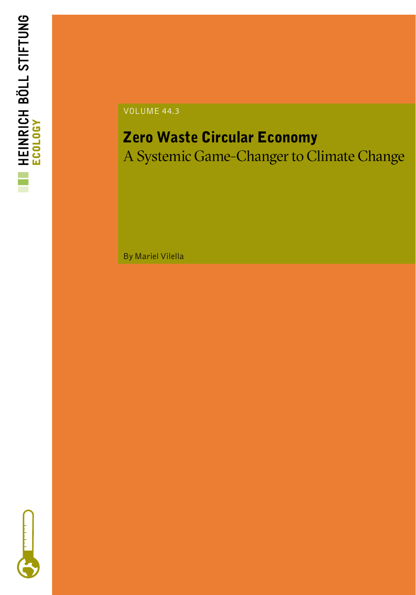

VOLUME 44.3

# Zero Waste Circular Economy

A Systemic Game-Changer to Climate Change

By Mariel Vilella

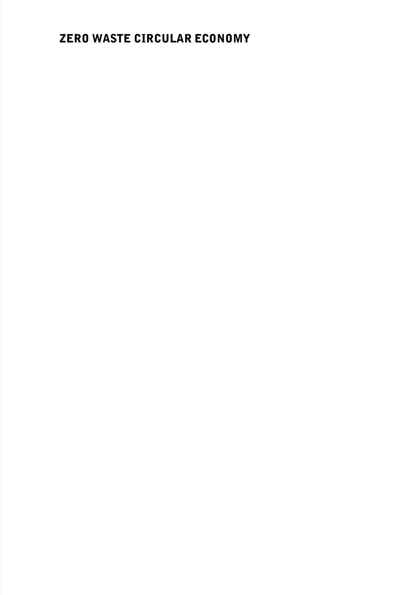## ZERO WASTE CIRCULAR ECONOMY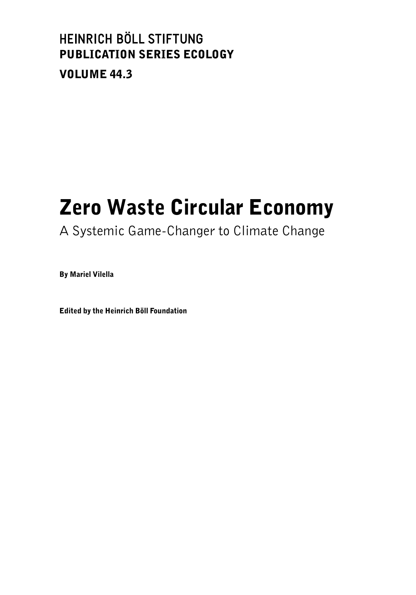## HEINRICH BÖLL STIFTUNG PUBLICATION SERIES ECOLOGY VOLUME 44.3

# Zero Waste Circular Economy

## A Systemic Game-Changer to Climate Change

By Mariel Vilella

Edited by the Heinrich Böll Foundation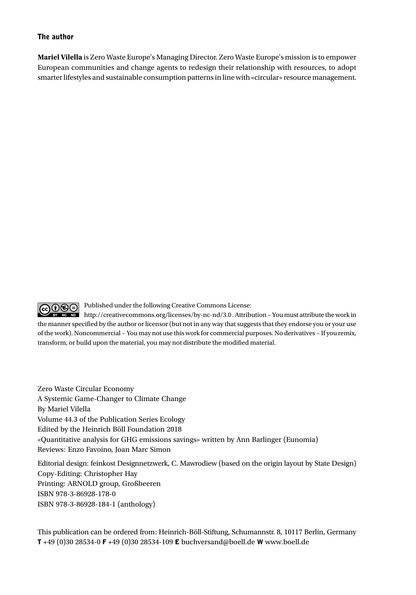#### The author

**Mariel Vilella** is Zero Waste Europe's Managing Director. Zero Waste Europe's mission is to empower European communities and change agents to redesign their relationship with resources, to adopt smarter lifestyles and sustainable consumption patterns in line with «circular» resource management.

GO  $\odot$  Published under the following Creative Commons License:

 $\frac{1}{2}$  Me No http://creativecommons.org/licenses/by-nc-nd/3.0 . Attribution – You must attribute the work in the manner specified by the author or licensor (but not in any way that suggests that they endorse you or your use of the work). Noncommercial – You may not use this work for commercial purposes. No derivatives – If you remix, transform, or build upon the material, you may not distribute the modified material.

Zero Waste Circular Economy A Systemic Game-Changer to Climate Change By Mariel Vilella Volume 44.3 of the Publication Series Ecology Edited by the Heinrich Böll Foundation 2018 «Quantitative analysis for GHG emissions savings» written by Ann Barlinger (Eunomia) Reviews: Enzo Favoino, Joan Marc Simon

Editorial design: feinkost Designnetzwerk, C. Mawrodiew (based on the origin layout by State Design) Copy-Editing: Christopher Hay Printing: ARNOLD group, Großbeeren ISBN 978-3-86928-178-0 ISBN 978-3-86928-184-1 (anthology)

This publication can be ordered from: Heinrich-Böll-Stiftung, Schumannstr. 8, 10117 Berlin, Germany T +49 (0)30 28534-0 F +49 (0)30 28534-109 E buchversand@boell.de W www.boell.de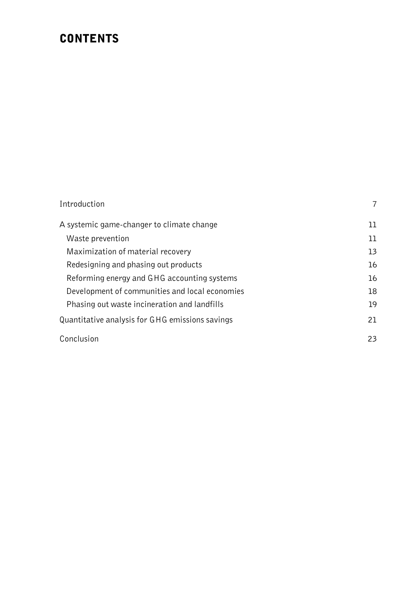## **CONTENTS**

| Introduction                                    | 7  |
|-------------------------------------------------|----|
| A systemic game-changer to climate change       | 11 |
| Waste prevention                                | 11 |
| Maximization of material recovery               | 13 |
| Redesigning and phasing out products            | 16 |
| Reforming energy and GHG accounting systems     | 16 |
| Development of communities and local economies  | 18 |
| Phasing out waste incineration and landfills    | 19 |
| Quantitative analysis for GHG emissions savings | 21 |
| Conclusion                                      | 23 |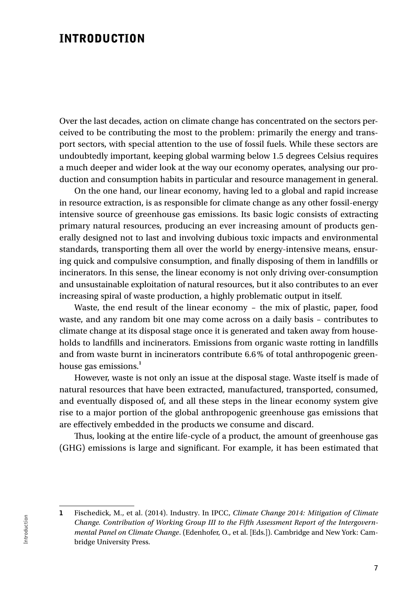### INTRODUCTION

Over the last decades, action on climate change has concentrated on the sectors perceived to be contributing the most to the problem: primarily the energy and transport sectors, with special attention to the use of fossil fuels. While these sectors are undoubtedly important, keeping global warming below 1.5 degrees Celsius requires a much deeper and wider look at the way our economy operates, analysing our production and consumption habits in particular and resource management in general.

On the one hand, our linear economy, having led to a global and rapid increase in resource extraction, is as responsible for climate change as any other fossil-energy intensive source of greenhouse gas emissions. Its basic logic consists of extracting primary natural resources, producing an ever increasing amount of products generally designed not to last and involving dubious toxic impacts and environmental standards, transporting them all over the world by energy-intensive means, ensuring quick and compulsive consumption, and finally disposing of them in landfills or incinerators. In this sense, the linear economy is not only driving over-consumption and unsustainable exploitation of natural resources, but it also contributes to an ever increasing spiral of waste production, a highly problematic output in itself.

Waste, the end result of the linear economy – the mix of plastic, paper, food waste, and any random bit one may come across on a daily basis – contributes to climate change at its disposal stage once it is generated and taken away from households to landfills and incinerators. Emissions from organic waste rotting in landfills and from waste burnt in incinerators contribute 6.6% of total anthropogenic greenhouse gas emissions.**<sup>1</sup>**

However, waste is not only an issue at the disposal stage. Waste itself is made of natural resources that have been extracted, manufactured, transported, consumed, and eventually disposed of, and all these steps in the linear economy system give rise to a major portion of the global anthropogenic greenhouse gas emissions that are effectively embedded in the products we consume and discard.

Thus, looking at the entire life-cycle of a product, the amount of greenhouse gas (GHG) emissions is large and significant. For example, it has been estimated that

<sup>1</sup> Fischedick, M., et al. (2014). Industry. In IPCC, *Climate Change 2014: Mitigation of Climate Change. Contribution of Working Group III to the Fifth Assessment Report of the Intergovernmental Panel on Climate Change*. (Edenhofer, O., et al. [Eds.]). Cambridge and New York: Cambridge University Press.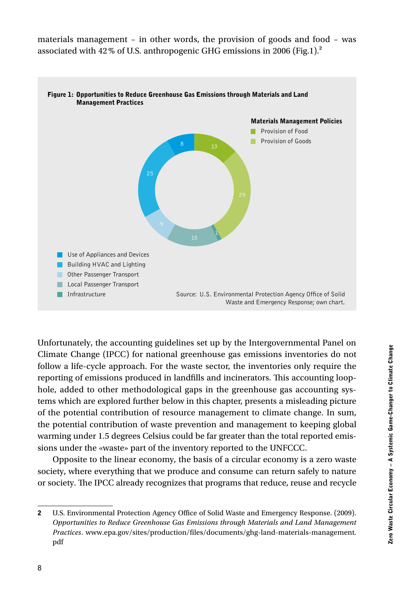materials management – in other words, the provision of goods and food – was associated with 42% of U.S. anthropogenic GHG emissions in 2006 (Fig.1).**<sup>2</sup>**



Unfortunately, the accounting guidelines set up by the Intergovernmental Panel on Climate Change (IPCC) for national greenhouse gas emissions inventories do not follow a life-cycle approach. For the waste sector, the inventories only require the reporting of emissions produced in landfills and incinerators. This accounting loophole, added to other methodological gaps in the greenhouse gas accounting systems which are explored further below in this chapter, presents a misleading picture of the potential contribution of resource management to climate change. In sum, the potential contribution of waste prevention and management to keeping global warming under 1.5 degrees Celsius could be far greater than the total reported emissions under the «waste» part of the inventory reported to the UNFCCC.

Opposite to the linear economy, the basis of a circular economy is a zero waste society, where everything that we produce and consume can return safely to nature or society. The IPCC already recognizes that programs that reduce, reuse and recycle

<sup>2</sup> U.S. Environmental Protection Agency Office of Solid Waste and Emergency Response. (2009). *Opportunities to Reduce Greenhouse Gas Emissions through Materials and Land Management Practices*. www.epa.gov/sites/production/files/documents/ghg-land-materials-management. pdf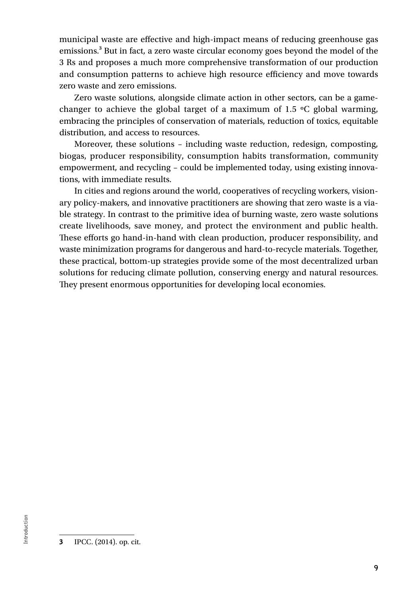municipal waste are effective and high-impact means of reducing greenhouse gas emissions.**<sup>3</sup>** But in fact, a zero waste circular economy goes beyond the model of the 3 Rs and proposes a much more comprehensive transformation of our production and consumption patterns to achieve high resource efficiency and move towards zero waste and zero emissions.

Zero waste solutions, alongside climate action in other sectors, can be a gamechanger to achieve the global target of a maximum of 1.5  $\degree$ C global warming, embracing the principles of conservation of materials, reduction of toxics, equitable distribution, and access to resources.

Moreover, these solutions – including waste reduction, redesign, composting, biogas, producer responsibility, consumption habits transformation, community empowerment, and recycling – could be implemented today, using existing innovations, with immediate results.

In cities and regions around the world, cooperatives of recycling workers, visionary policy-makers, and innovative practitioners are showing that zero waste is a viable strategy. In contrast to the primitive idea of burning waste, zero waste solutions create livelihoods, save money, and protect the environment and public health. These efforts go hand-in-hand with clean production, producer responsibility, and waste minimization programs for dangerous and hard-to-recycle materials. Together, these practical, bottom-up strategies provide some of the most decentralized urban solutions for reducing climate pollution, conserving energy and natural resources. They present enormous opportunities for developing local economies.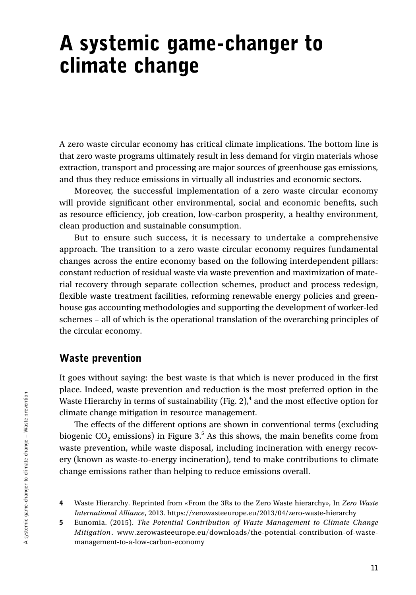# A systemic game-changer to climate change

A zero waste circular economy has critical climate implications. The bottom line is that zero waste programs ultimately result in less demand for virgin materials whose extraction, transport and processing are major sources of greenhouse gas emissions, and thus they reduce emissions in virtually all industries and economic sectors.

Moreover, the successful implementation of a zero waste circular economy will provide significant other environmental, social and economic benefits, such as resource efficiency, job creation, low-carbon prosperity, a healthy environment, clean production and sustainable consumption.

But to ensure such success, it is necessary to undertake a comprehensive approach. The transition to a zero waste circular economy requires fundamental changes across the entire economy based on the following interdependent pillars: constant reduction of residual waste via waste prevention and maximization of material recovery through separate collection schemes, product and process redesign, flexible waste treatment facilities, reforming renewable energy policies and greenhouse gas accounting methodologies and supporting the development of worker-led schemes – all of which is the operational translation of the overarching principles of the circular economy.

#### Waste prevention

It goes without saying: the best waste is that which is never produced in the first place. Indeed, waste prevention and reduction is the most preferred option in the Waste Hierarchy in terms of sustainability (Fig. 2),**<sup>4</sup>** and the most effective option for climate change mitigation in resource management.

The effects of the different options are shown in conventional terms (excluding biogenic CO**2** emissions) in Figure 3.**<sup>5</sup>** As this shows, the main benefits come from waste prevention, while waste disposal, including incineration with energy recovery (known as waste-to-energy incineration), tend to make contributions to climate change emissions rather than helping to reduce emissions overall.

<sup>4</sup> Waste Hierarchy. Reprinted from «From the 3Rs to the Zero Waste hierarchy», In *Zero Waste International Alliance*, 2013. https://zerowasteeurope.eu/2013/04/zero-waste-hierarchy

<sup>5</sup> Eunomia. (2015). *The Potential Contribution of Waste Management to Climate Change Mitigation*. www.zerowasteeurope.eu/downloads/the-potential-contribution-of-wastemanagement-to-a-low-carbon-economy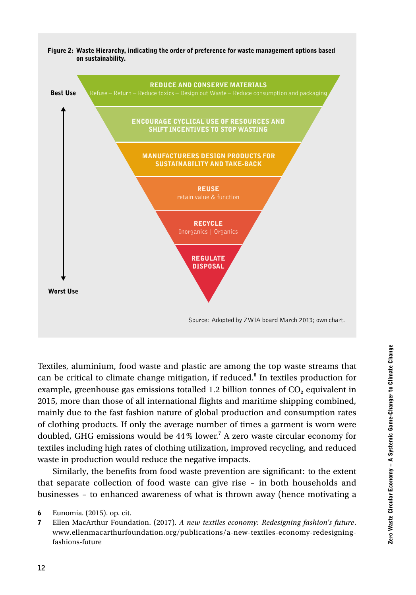

Textiles, aluminium, food waste and plastic are among the top waste streams that can be critical to climate change mitigation, if reduced.**<sup>6</sup>** In textiles production for example, greenhouse gas emissions totalled 1.2 billion tonnes of CO<sub>2</sub> equivalent in 2015, more than those of all international flights and maritime shipping combined, mainly due to the fast fashion nature of global production and consumption rates of clothing products. If only the average number of times a garment is worn were doubled, GHG emissions would be 44% lower.<sup>7</sup> A zero waste circular economy for textiles including high rates of clothing utilization, improved recycling, and reduced waste in production would reduce the negative impacts.

Similarly, the benefits from food waste prevention are significant: to the extent that separate collection of food waste can give rise – in both households and businesses – to enhanced awareness of what is thrown away (hence motivating a

<sup>6</sup> Eunomia. (2015). op. cit.

<sup>7</sup> Ellen MacArthur Foundation. (2017). *A new textiles economy: Redesigning fashion's future*. www.ellenmacarthurfoundation.org/publications/a-new-textiles-economy-redesigningfashions-future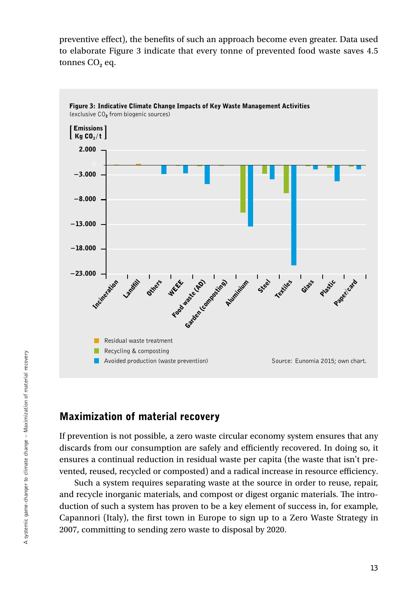preventive effect), the benefits of such an approach become even greater. Data used to elaborate Figure 3 indicate that every tonne of prevented food waste saves 4.5 tonnes CO<sub>2</sub> eq.



#### Maximization of material recovery

If prevention is not possible, a zero waste circular economy system ensures that any discards from our consumption are safely and efficiently recovered. In doing so, it ensures a continual reduction in residual waste per capita (the waste that isn't prevented, reused, recycled or composted) and a radical increase in resource efficiency.

Such a system requires separating waste at the source in order to reuse, repair, and recycle inorganic materials, and compost or digest organic materials. The introduction of such a system has proven to be a key element of success in, for example, Capannori (Italy), the first town in Europe to sign up to a Zero Waste Strategy in 2007, committing to sending zero waste to disposal by 2020.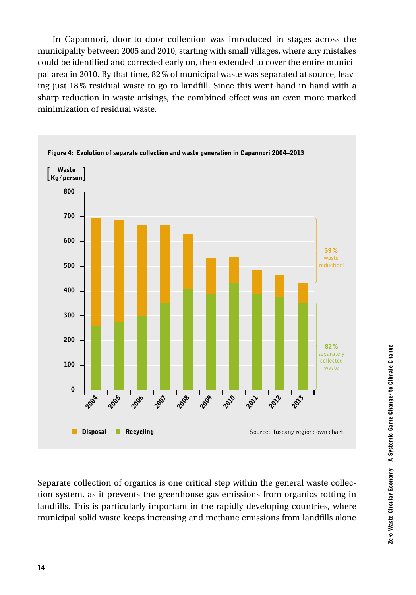In Capannori, door-to-door collection was introduced in stages across the municipality between 2005 and 2010, starting with small villages, where any mistakes could be identified and corrected early on, then extended to cover the entire municipal area in 2010. By that time, 82% of municipal waste was separated at source, leaving just 18% residual waste to go to landfill. Since this went hand in hand with a sharp reduction in waste arisings, the combined effect was an even more marked minimization of residual waste.



Separate collection of organics is one critical step within the general waste collection system, as it prevents the greenhouse gas emissions from organics rotting in landfills. This is particularly important in the rapidly developing countries, where municipal solid waste keeps increasing and methane emissions from landfills alone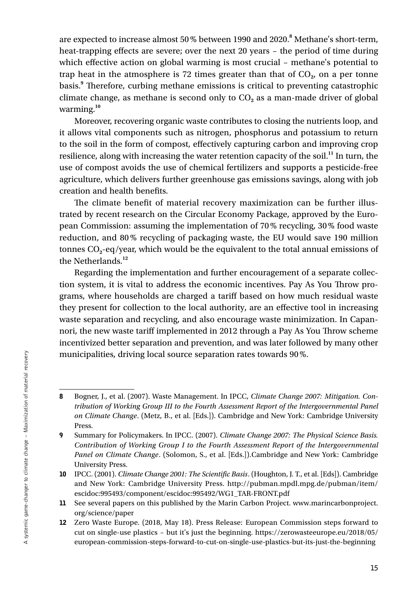are expected to increase almost 50% between 1990 and 2020.**<sup>8</sup>** Methane's short-term, heat-trapping effects are severe; over the next 20 years – the period of time during which effective action on global warming is most crucial – methane's potential to trap heat in the atmosphere is  $72$  times greater than that of  $CO<sub>2</sub>$ , on a per tonne basis.**<sup>9</sup>** Therefore, curbing methane emissions is critical to preventing catastrophic climate change, as methane is second only to CO<sub>2</sub> as a man-made driver of global warming.**<sup>10</sup>**

Moreover, recovering organic waste contributes to closing the nutrients loop, and it allows vital components such as nitrogen, phosphorus and potassium to return to the soil in the form of compost, effectively capturing carbon and improving crop resilience, along with increasing the water retention capacity of the soil.**<sup>11</sup>** In turn, the use of compost avoids the use of chemical fertilizers and supports a pesticide-free agriculture, which delivers further greenhouse gas emissions savings, along with job creation and health benefits.

The climate benefit of material recovery maximization can be further illustrated by recent research on the Circular Economy Package, approved by the European Commission: assuming the implementation of 70% recycling, 30% food waste reduction, and 80% recycling of packaging waste, the EU would save 190 million tonnes CO**2**-eq/year, which would be the equivalent to the total annual emissions of the Netherlands.**<sup>12</sup>**

Regarding the implementation and further encouragement of a separate collection system, it is vital to address the economic incentives. Pay As You Throw programs, where households are charged a tariff based on how much residual waste they present for collection to the local authority, are an effective tool in increasing waste separation and recycling, and also encourage waste minimization. In Capannori, the new waste tariff implemented in 2012 through a Pay As You Throw scheme incentivized better separation and prevention, and was later followed by many other municipalities, driving local source separation rates towards 90%.

<sup>8</sup> Bogner, J., et al. (2007). Waste Management. In IPCC, *Climate Change 2007: Mitigation. Contribution of Working Group III to the Fourth Assessment Report of the Intergovernmental Panel on Climate Change*. (Metz, B., et al. [Eds.]). Cambridge and New York: Cambridge University Press.

<sup>9</sup> Summary for Policymakers. In IPCC. (2007). *Climate Change 2007: The Physical Science Basis. Contribution of Working Group I to the Fourth Assessment Report of the Intergovernmental Panel on Climate Change*. (Solomon, S., et al. [Eds.]).Cambridge and New York: Cambridge University Press.

<sup>10</sup> IPCC. (2001). *Climate Change 2001: The Scientific Basis*. (Houghton, J. T., et al. [Eds]). Cambridge and New York: Cambridge University Press. http://pubman.mpdl.mpg.de/pubman/item/ escidoc:995493/component/escidoc:995492/WG1\_TAR-FRONT.pdf

<sup>11</sup> See several papers on this published by the Marin Carbon Project. www.marincarbonproject. org/science/paper

<sup>12</sup> Zero Waste Europe. (2018, May 18). Press Release: European Commission steps forward to cut on single-use plastics – but it's just the beginning. https://zerowasteeurope.eu/2018/05/ european-commission-steps-forward-to-cut-on-single-use-plastics-but-its-just-the-beginning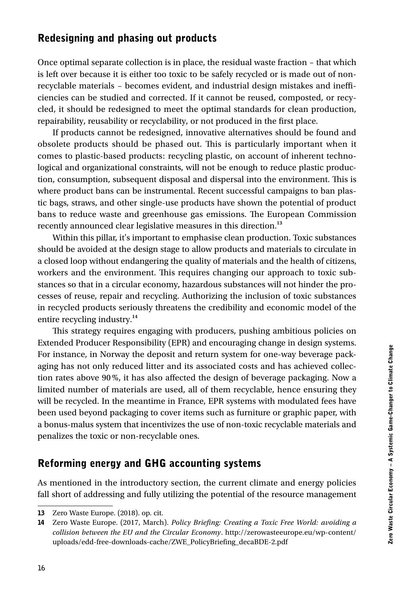### Redesigning and phasing out products

Once optimal separate collection is in place, the residual waste fraction – that which is left over because it is either too toxic to be safely recycled or is made out of nonrecyclable materials – becomes evident, and industrial design mistakes and inefficiencies can be studied and corrected. If it cannot be reused, composted, or recycled, it should be redesigned to meet the optimal standards for clean production, repairability, reusability or recyclability, or not produced in the first place.

If products cannot be redesigned, innovative alternatives should be found and obsolete products should be phased out. This is particularly important when it comes to plastic-based products: recycling plastic, on account of inherent technological and organizational constraints, will not be enough to reduce plastic production, consumption, subsequent disposal and dispersal into the environment. This is where product bans can be instrumental. Recent successful campaigns to ban plastic bags, straws, and other single-use products have shown the potential of product bans to reduce waste and greenhouse gas emissions. The European Commission recently announced clear legislative measures in this direction.**<sup>13</sup>**

Within this pillar, it's important to emphasise clean production. Toxic substances should be avoided at the design stage to allow products and materials to circulate in a closed loop without endangering the quality of materials and the health of citizens, workers and the environment. This requires changing our approach to toxic substances so that in a circular economy, hazardous substances will not hinder the processes of reuse, repair and recycling. Authorizing the inclusion of toxic substances in recycled products seriously threatens the credibility and economic model of the entire recycling industry.**<sup>14</sup>**

This strategy requires engaging with producers, pushing ambitious policies on Extended Producer Responsibility (EPR) and encouraging change in design systems. For instance, in Norway the deposit and return system for one-way beverage packaging has not only reduced litter and its associated costs and has achieved collection rates above 90%, it has also affected the design of beverage packaging. Now a limited number of materials are used, all of them recyclable, hence ensuring they will be recycled. In the meantime in France, EPR systems with modulated fees have been used beyond packaging to cover items such as furniture or graphic paper, with a bonus-malus system that incentivizes the use of non-toxic recyclable materials and penalizes the toxic or non-recyclable ones.

#### Reforming energy and GHG accounting systems

As mentioned in the introductory section, the current climate and energy policies fall short of addressing and fully utilizing the potential of the resource management

<sup>13</sup> Zero Waste Europe. (2018). op. cit.

<sup>14</sup> Zero Waste Europe. (2017, March). *Policy Briefing: Creating a Toxic Free World: avoiding a collision between the EU and the Circular Economy*. http://zerowasteeurope.eu/wp-content/ uploads/edd-free-downloads-cache/ZWE\_PolicyBriefing\_decaBDE-2.pdf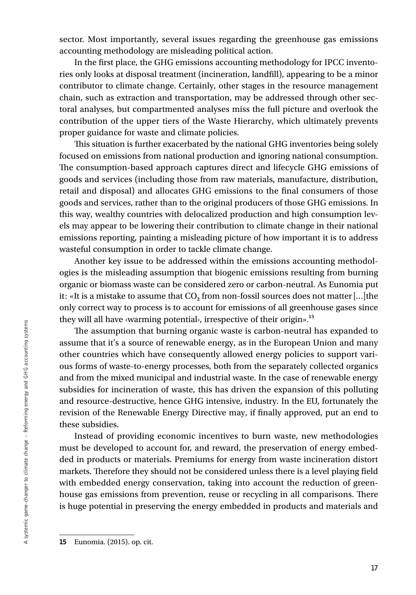sector. Most importantly, several issues regarding the greenhouse gas emissions accounting methodology are misleading political action.

In the first place, the GHG emissions accounting methodology for IPCC inventories only looks at disposal treatment (incineration, landfill), appearing to be a minor contributor to climate change. Certainly, other stages in the resource management chain, such as extraction and transportation, may be addressed through other sectoral analyses, but compartmented analyses miss the full picture and overlook the contribution of the upper tiers of the Waste Hierarchy, which ultimately prevents proper guidance for waste and climate policies.

This situation is further exacerbated by the national GHG inventories being solely focused on emissions from national production and ignoring national consumption. The consumption-based approach captures direct and lifecycle GHG emissions of goods and services (including those from raw materials, manufacture, distribution, retail and disposal) and allocates GHG emissions to the final consumers of those goods and services, rather than to the original producers of those GHG emissions. In this way, wealthy countries with delocalized production and high consumption levels may appear to be lowering their contribution to climate change in their national emissions reporting, painting a misleading picture of how important it is to address wasteful consumption in order to tackle climate change.

Another key issue to be addressed within the emissions accounting methodologies is the misleading assumption that biogenic emissions resulting from burning organic or biomass waste can be considered zero or carbon-neutral. As Eunomia put it: «It is a mistake to assume that CO**2** from non-fossil sources does not matter[…]the only correct way to process is to account for emissions of all greenhouse gases since they will all have ‹warming potential›, irrespective of their origin».**<sup>15</sup>**

The assumption that burning organic waste is carbon-neutral has expanded to assume that it's a source of renewable energy, as in the European Union and many other countries which have consequently allowed energy policies to support various forms of waste-to-energy processes, both from the separately collected organics and from the mixed municipal and industrial waste. In the case of renewable energy subsidies for incineration of waste, this has driven the expansion of this polluting and resource-destructive, hence GHG intensive, industry. In the EU, fortunately the revision of the Renewable Energy Directive may, if finally approved, put an end to these subsidies.

Instead of providing economic incentives to burn waste, new methodologies must be developed to account for, and reward, the preservation of energy embedded in products or materials. Premiums for energy from waste incineration distort markets. Therefore they should not be considered unless there is a level playing field with embedded energy conservation, taking into account the reduction of greenhouse gas emissions from prevention, reuse or recycling in all comparisons. There is huge potential in preserving the energy embedded in products and materials and

<sup>15</sup> Eunomia. (2015). op. cit.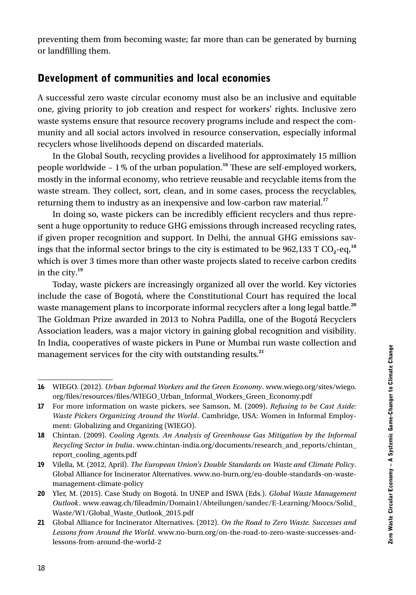preventing them from becoming waste; far more than can be generated by burning or landfilling them.

### Development of communities and local economies

A successful zero waste circular economy must also be an inclusive and equitable one, giving priority to job creation and respect for workers' rights. Inclusive zero waste systems ensure that resource recovery programs include and respect the community and all social actors involved in resource conservation, especially informal recyclers whose livelihoods depend on discarded materials.

In the Global South, recycling provides a livelihood for approximately 15 million people worldwide – 1% of the urban population.**<sup>16</sup>** These are self-employed workers, mostly in the informal economy, who retrieve reusable and recyclable items from the waste stream. They collect, sort, clean, and in some cases, process the recyclables, returning them to industry as an inexpensive and low-carbon raw material.**<sup>17</sup>**

In doing so, waste pickers can be incredibly efficient recyclers and thus represent a huge opportunity to reduce GHG emissions through increased recycling rates, if given proper recognition and support. In Delhi, the annual GHG emissions savings that the informal sector brings to the city is estimated to be  $962,133$  T CO<sub>2</sub>-eq,<sup>18</sup> which is over 3 times more than other waste projects slated to receive carbon credits in the city.**<sup>19</sup>**

Today, waste pickers are increasingly organized all over the world. Key victories include the case of Bogotá, where the Constitutional Court has required the local waste management plans to incorporate informal recyclers after a long legal battle.<sup>20</sup> The Goldman Prize awarded in 2013 to Nohra Padilla, one of the Bogotá Recyclers Association leaders, was a major victory in gaining global recognition and visibility. In India, cooperatives of waste pickers in Pune or Mumbai run waste collection and management services for the city with outstanding results.**<sup>21</sup>**

<sup>16</sup> WIEGO. (2012). *Urban Informal Workers and the Green Economy*. www.wiego.org/sites/wiego. org/files/resources/files/WIEGO\_Urban\_Informal\_Workers\_Green\_Economy.pdf

<sup>17</sup> For more information on waste pickers, see Samson, M. (2009). *Refusing to be Cast Aside: Waste Pickers Organizing Around the World*. Cambridge, USA: Women in Informal Employment: Globalizing and Organizing (WIEGO).

<sup>18</sup> Chintan. (2009). *Cooling Agents. An Analysis of Greenhouse Gas Mitigation by the Informal Recycling Sector in India*. www.chintan-india.org/documents/research\_and\_reports/chintan\_ report\_cooling\_agents.pdf

<sup>19</sup> Vilella, M. (2012, April). *The European Union's Double Standards on Waste and Climate Policy*. Global Alliance for Incinerator Alternatives. www.no-burn.org/eu-double-standards-on-wastemanagement-climate-policy

<sup>20</sup> Yler, M. (2015). Case Study on Bogotá. In UNEP and ISWA (Eds.). *Global Waste Management Outlook*. www.eawag.ch/fileadmin/Domain1/Abteilungen/sandec/E-Learning/Moocs/Solid\_ Waste/W1/Global\_Waste\_Outlook\_2015.pdf

<sup>21</sup> Global Alliance for Incinerator Alternatives. (2012). *On the Road to Zero Waste. Successes and Lessons from Around the World*. www.no-burn.org/on-the-road-to-zero-waste-successes-andlessons-from-around-the-world-2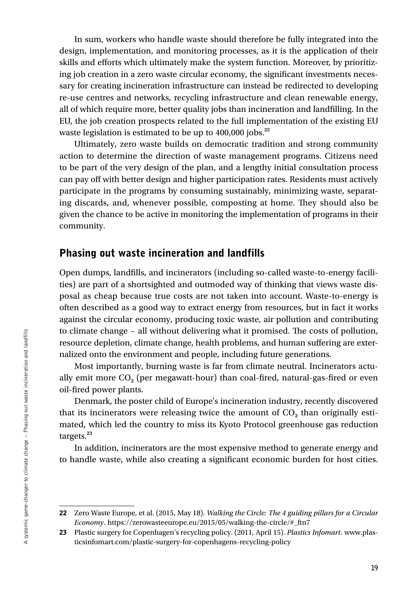In sum, workers who handle waste should therefore be fully integrated into the design, implementation, and monitoring processes, as it is the application of their skills and efforts which ultimately make the system function. Moreover, by prioritizing job creation in a zero waste circular economy, the significant investments necessary for creating incineration infrastructure can instead be redirected to developing re-use centres and networks, recycling infrastructure and clean renewable energy, all of which require more, better quality jobs than incineration and landfilling. In the EU, the job creation prospects related to the full implementation of the existing EU waste legislation is estimated to be up to 400,000 jobs.**<sup>22</sup>**

Ultimately, zero waste builds on democratic tradition and strong community action to determine the direction of waste management programs. Citizens need to be part of the very design of the plan, and a lengthy initial consultation process can pay off with better design and higher participation rates. Residents must actively participate in the programs by consuming sustainably, minimizing waste, separating discards, and, whenever possible, composting at home. They should also be given the chance to be active in monitoring the implementation of programs in their community.

#### Phasing out waste incineration and landfills

Open dumps, landfills, and incinerators (including so-called waste-to-energy facilities) are part of a shortsighted and outmoded way of thinking that views waste disposal as cheap because true costs are not taken into account. Waste-to-energy is often described as a good way to extract energy from resources, but in fact it works against the circular economy, producing toxic waste, air pollution and contributing to climate change – all without delivering what it promised. The costs of pollution, resource depletion, climate change, health problems, and human suffering are externalized onto the environment and people, including future generations.

Most importantly, burning waste is far from climate neutral. Incinerators actually emit more CO**2** (per megawatt-hour) than coal-fired, natural-gas-fired or even oil-fired power plants.

Denmark, the poster child of Europe's incineration industry, recently discovered that its incinerators were releasing twice the amount of  $CO<sub>2</sub>$  than originally estimated, which led the country to miss its Kyoto Protocol greenhouse gas reduction targets.**<sup>23</sup>**

In addition, incinerators are the most expensive method to generate energy and to handle waste, while also creating a significant economic burden for host cities.

<sup>22</sup> Zero Waste Europe, et al. (2015, May 18). *Walking the Circle: The 4 guiding pillars for a Circular Economy*. https://zerowasteeurope.eu/2015/05/walking-the-circle/#\_ftn7

<sup>23</sup> Plastic surgery for Copenhagen's recycling policy. (2011, April 15). *Plastics Infomart*. www.plasticsinfomart.com/plastic-surgery-for-copenhagens-recycling-policy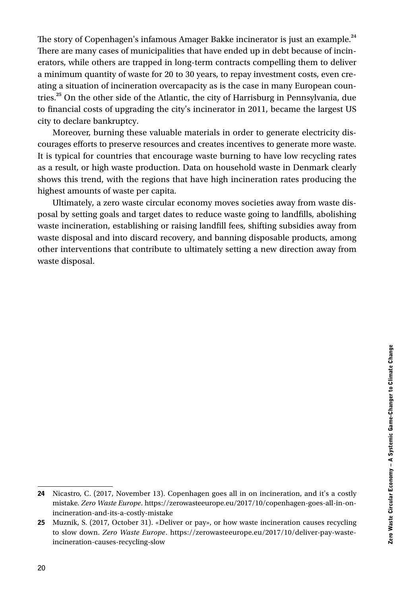The story of Copenhagen's infamous Amager Bakke incinerator is just an example.**<sup>24</sup>** There are many cases of municipalities that have ended up in debt because of incinerators, while others are trapped in long-term contracts compelling them to deliver a minimum quantity of waste for 20 to 30 years, to repay investment costs, even creating a situation of incineration overcapacity as is the case in many European countries.**<sup>25</sup>** On the other side of the Atlantic, the city of Harrisburg in Pennsylvania, due to financial costs of upgrading the city's incinerator in 2011, became the largest US city to declare bankruptcy.

Moreover, burning these valuable materials in order to generate electricity discourages efforts to preserve resources and creates incentives to generate more waste. It is typical for countries that encourage waste burning to have low recycling rates as a result, or high waste production. Data on household waste in Denmark clearly shows this trend, with the regions that have high incineration rates producing the highest amounts of waste per capita.

Ultimately, a zero waste circular economy moves societies away from waste disposal by setting goals and target dates to reduce waste going to landfills, abolishing waste incineration, establishing or raising landfill fees, shifting subsidies away from waste disposal and into discard recovery, and banning disposable products, among other interventions that contribute to ultimately setting a new direction away from waste disposal.

<sup>24</sup> Nicastro, C. (2017, November 13). Copenhagen goes all in on incineration, and it's a costly mistake. *Zero Waste Europe*. https://zerowasteeurope.eu/2017/10/copenhagen-goes-all-in-onincineration-and-its-a-costly-mistake

<sup>25</sup> Muznik, S. (2017, October 31). «Deliver or pay», or how waste incineration causes recycling to slow down. *Zero Waste Europe*. https://zerowasteeurope.eu/2017/10/deliver-pay-wasteincineration-causes-recycling-slow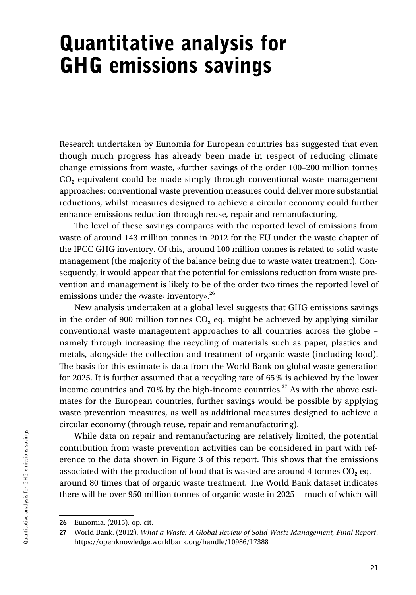## Quantitative analysis for GHG emissions savings

Research undertaken by Eunomia for European countries has suggested that even though much progress has already been made in respect of reducing climate change emissions from waste, «further savings of the order 100–200 million tonnes CO**2** equivalent could be made simply through conventional waste management approaches: conventional waste prevention measures could deliver more substantial reductions, whilst measures designed to achieve a circular economy could further enhance emissions reduction through reuse, repair and remanufacturing.

The level of these savings compares with the reported level of emissions from waste of around 143 million tonnes in 2012 for the EU under the waste chapter of the IPCC GHG inventory. Of this, around 100 million tonnes is related to solid waste management (the majority of the balance being due to waste water treatment). Consequently, it would appear that the potential for emissions reduction from waste prevention and management is likely to be of the order two times the reported level of emissions under the ‹waste› inventory».**<sup>26</sup>**

New analysis undertaken at a global level suggests that GHG emissions savings in the order of 900 million tonnes  $CO<sub>2</sub>$  eq. might be achieved by applying similar conventional waste management approaches to all countries across the globe – namely through increasing the recycling of materials such as paper, plastics and metals, alongside the collection and treatment of organic waste (including food). The basis for this estimate is data from the World Bank on global waste generation for 2025. It is further assumed that a recycling rate of 65% is achieved by the lower income countries and 70% by the high-income countries.**<sup>27</sup>** As with the above estimates for the European countries, further savings would be possible by applying waste prevention measures, as well as additional measures designed to achieve a circular economy (through reuse, repair and remanufacturing).

While data on repair and remanufacturing are relatively limited, the potential contribution from waste prevention activities can be considered in part with reference to the data shown in Figure 3 of this report. This shows that the emissions associated with the production of food that is wasted are around 4 tonnes  $CO<sub>2</sub>$  eq. – around 80 times that of organic waste treatment. The World Bank dataset indicates there will be over 950 million tonnes of organic waste in 2025 – much of which will

<sup>26</sup> Eunomia. (2015). op. cit.

<sup>27</sup> World Bank. (2012). *What a Waste: A Global Review of Solid Waste Management, Final Report*. https://openknowledge.worldbank.org/handle/10986/17388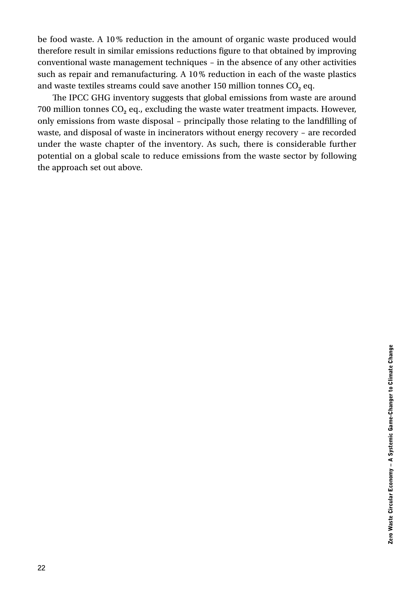be food waste. A 10% reduction in the amount of organic waste produced would therefore result in similar emissions reductions figure to that obtained by improving conventional waste management techniques – in the absence of any other activities such as repair and remanufacturing. A 10% reduction in each of the waste plastics and waste textiles streams could save another 150 million tonnes CO<sub>2</sub> eq.

The IPCC GHG inventory suggests that global emissions from waste are around 700 million tonnes CO**2** eq., excluding the waste water treatment impacts. However, only emissions from waste disposal – principally those relating to the landfilling of waste, and disposal of waste in incinerators without energy recovery – are recorded under the waste chapter of the inventory. As such, there is considerable further potential on a global scale to reduce emissions from the waste sector by following the approach set out above.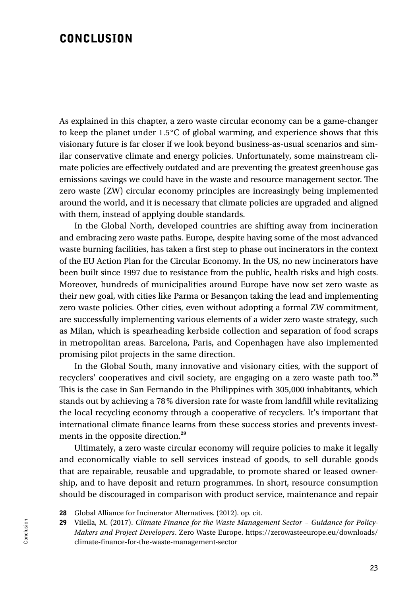### **CONCLUSION**

As explained in this chapter, a zero waste circular economy can be a game-changer to keep the planet under 1.5°C of global warming, and experience shows that this visionary future is far closer if we look beyond business-as-usual scenarios and similar conservative climate and energy policies. Unfortunately, some mainstream climate policies are effectively outdated and are preventing the greatest greenhouse gas emissions savings we could have in the waste and resource management sector. The zero waste (ZW) circular economy principles are increasingly being implemented around the world, and it is necessary that climate policies are upgraded and aligned with them, instead of applying double standards.

In the Global North, developed countries are shifting away from incineration and embracing zero waste paths. Europe, despite having some of the most advanced waste burning facilities, has taken a first step to phase out incinerators in the context of the EU Action Plan for the Circular Economy. In the US, no new incinerators have been built since 1997 due to resistance from the public, health risks and high costs. Moreover, hundreds of municipalities around Europe have now set zero waste as their new goal, with cities like Parma or Besançon taking the lead and implementing zero waste policies. Other cities, even without adopting a formal ZW commitment, are successfully implementing various elements of a wider zero waste strategy, such as Milan, which is spearheading kerbside collection and separation of food scraps in metropolitan areas. Barcelona, Paris, and Copenhagen have also implemented promising pilot projects in the same direction.

In the Global South, many innovative and visionary cities, with the support of recyclers' cooperatives and civil society, are engaging on a zero waste path too.**<sup>28</sup>** This is the case in San Fernando in the Philippines with 305,000 inhabitants, which stands out by achieving a 78% diversion rate for waste from landfill while revitalizing the local recycling economy through a cooperative of recyclers. It's important that international climate finance learns from these success stories and prevents investments in the opposite direction.**<sup>29</sup>**

Ultimately, a zero waste circular economy will require policies to make it legally and economically viable to sell services instead of goods, to sell durable goods that are repairable, reusable and upgradable, to promote shared or leased ownership, and to have deposit and return programmes. In short, resource consumption should be discouraged in comparison with product service, maintenance and repair

<sup>28</sup> Global Alliance for Incinerator Alternatives. (2012). op. cit.

<sup>29</sup> Vilella, M. (2017). *Climate Finance for the Waste Management Sector – Guidance for Policy-Makers and Project Developers*. Zero Waste Europe. https://zerowasteeurope.eu/downloads/ climate-finance-for-the-waste-management-sector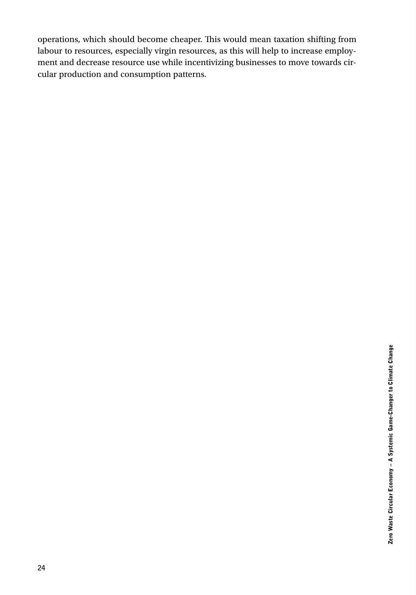operations, which should become cheaper. This would mean taxation shifting from labour to resources, especially virgin resources, as this will help to increase employment and decrease resource use while incentivizing businesses to move towards circular production and consumption patterns.